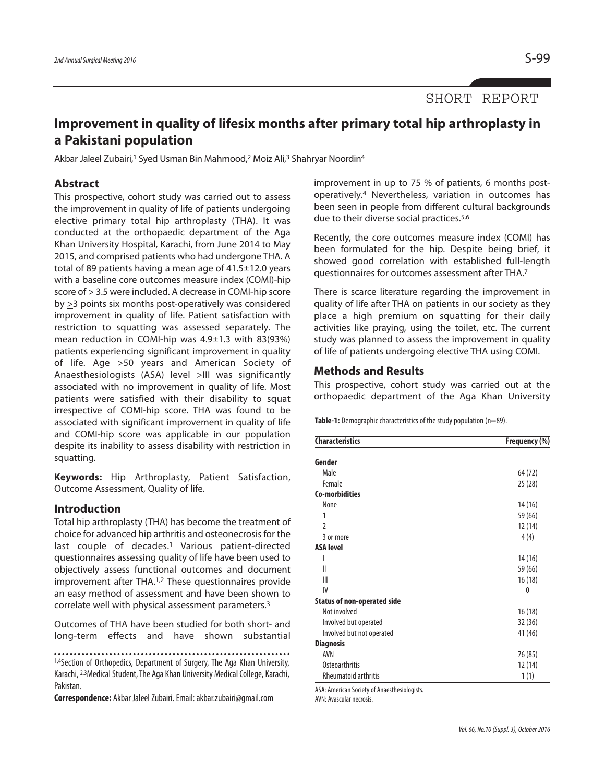SHORT REPORT

# **Improvement in quality of lifesix months after primary total hip arthroplasty in a Pakistani population**

Akbar Jaleel Zubairi,<sup>1</sup> Syed Usman Bin Mahmood,<sup>2</sup> Moiz Ali,<sup>3</sup> Shahryar Noordin<sup>4</sup>

#### **Abstract**

This prospective, cohort study was carried out to assess the improvement in quality of life of patients undergoing elective primary total hip arthroplasty (THA). It was conducted at the orthopaedic department of the Aga Khan University Hospital, Karachi, from June 2014 to May 2015, and comprised patients who had undergone THA. A total of 89 patients having a mean age of 41.5±12.0 years with a baseline core outcomes measure index (COMI)-hip score of > 3.5 were included. A decrease in COMI-hip score by  $\geq$ 3 points six months post-operatively was considered improvement in quality of life. Patient satisfaction with restriction to squatting was assessed separately. The mean reduction in COMI-hip was 4.9±1.3 with 83(93%) patients experiencing significant improvement in quality of life. Age >50 years and American Society of Anaesthesiologists (ASA) level >III was significantly associated with no improvement in quality of life. Most patients were satisfied with their disability to squat irrespective of COMI-hip score. THA was found to be associated with significant improvement in quality of life and COMI-hip score was applicable in our population despite its inability to assess disability with restriction in squatting.

**Keywords:** Hip Arthroplasty, Patient Satisfaction, Outcome Assessment, Quality of life.

## **Introduction**

Total hip arthroplasty (THA) has become the treatment of choice for advanced hip arthritis and osteonecrosisfor the last couple of decades. <sup>1</sup> Various patient-directed questionnaires assessing quality of life have been used to objectively assess functional outcomes and document improvement after THA. 1,2 These questionnaires provide an easy method of assessment and have been shown to correlate well with physical assessment parameters. 3

Outcomes of THA have been studied for both short- and long-term effects and have shown substantial

**Correspondence:** Akbar Jaleel Zubairi. Email: akbar.zubairi@gmail.com

improvement in up to 75 % of patients, 6 months postoperatively. <sup>4</sup> Nevertheless, variation in outcomes has been seen in people from different cultural backgrounds due to their diverse social practices.<sup>5,6</sup>

Recently, the core outcomes measure index (COMI) has been formulated for the hip. Despite being brief, it showed good correlation with established full-length questionnaires for outcomes assessment after THA.7

There is scarce literature regarding the improvement in quality of life after THA on patients in our society as they place a high premium on squatting for their daily activities like praying, using the toilet, etc. The current study was planned to assess the improvement in quality of life of patients undergoing elective THA using COMI.

### **Methods and Results**

This prospective, cohort study was carried out at the orthopaedic department of the Aga Khan University

**Table-1:** Demographic characteristics of the study population (n=89).

| <b>Characteristics</b>             | Frequency (%) |  |
|------------------------------------|---------------|--|
| Gender                             |               |  |
| Male                               | 64 (72)       |  |
| Female                             | 25(28)        |  |
| <b>Co-morbidities</b>              |               |  |
| None                               | 14 (16)       |  |
| 1                                  | 59 (66)       |  |
| $\mathfrak{p}$                     | 12 (14)       |  |
| 3 or more                          | 4(4)          |  |
| <b>ASA level</b>                   |               |  |
| I                                  | 14(16)        |  |
| $\mathsf{I}$                       | 59 (66)       |  |
| Ш                                  | 16(18)        |  |
| IV                                 | 0             |  |
| <b>Status of non-operated side</b> |               |  |
| Not involved                       | 16(18)        |  |
| Involved but operated              | 32 (36)       |  |
| Involved but not operated          | 41 (46)       |  |
| <b>Diagnosis</b>                   |               |  |
| <b>AVN</b>                         | 76 (85)       |  |
| <b>Osteoarthritis</b>              | 12 (14)       |  |
| <b>Rheumatoid arthritis</b>        | 1(1)          |  |

ASA: American Society of Anaesthesiologists.

AVN: Avascular necrosis.

<sup>1,4</sup>Section of Orthopedics, Department of Surgery, The Aga Khan University, Karachi, <sup>2,3</sup>Medical Student, The Aga Khan University Medical College, Karachi, Pakistan.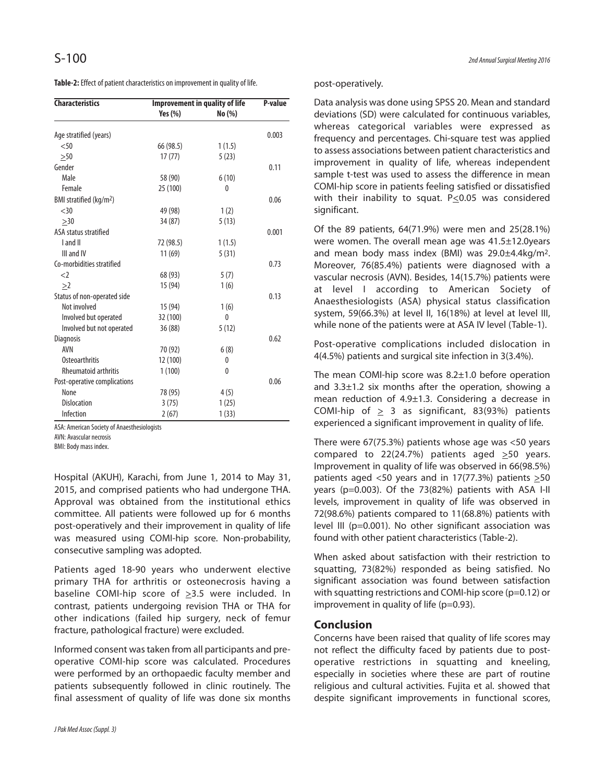Table-2: Effect of patient characteristics on improvement in quality of life.

| <b>Characteristics</b>              | <b>Improvement in quality of life</b> |              | P-value |
|-------------------------------------|---------------------------------------|--------------|---------|
|                                     | Yes $(\%)$                            | No(%)        |         |
| Age stratified (years)              |                                       |              | 0.003   |
| < 50                                | 66 (98.5)                             | 1(1.5)       |         |
| >50                                 | 17(77)                                | 5(23)        |         |
| Gender                              |                                       |              | 0.11    |
| Male                                | 58 (90)                               | 6(10)        |         |
| Female                              | 25 (100)                              | 0            |         |
| BMI stratified (kg/m <sup>2</sup> ) |                                       |              | 0.06    |
| <30                                 | 49 (98)                               | 1(2)         |         |
| >30                                 | 34 (87)                               | 5(13)        |         |
| ASA status stratified               |                                       |              | 0.001   |
| I and II                            | 72 (98.5)                             | 1(1.5)       |         |
| III and IV                          | 11(69)                                | 5(31)        |         |
| Co-morbidities stratified           |                                       |              | 0.73    |
| $<$ 2                               | 68 (93)                               | 5(7)         |         |
| >2                                  | 15 (94)                               | 1(6)         |         |
| Status of non-operated side         |                                       |              | 0.13    |
| Not involved                        | 15 (94)                               | 1(6)         |         |
| Involved but operated               | 32 (100)                              | $\mathbf{0}$ |         |
| Involved but not operated           | 36 (88)                               | 5(12)        |         |
| <b>Diagnosis</b>                    |                                       |              | 0.62    |
| AVN                                 | 70 (92)                               | 6(8)         |         |
| <b>Osteoarthritis</b>               | 12 (100)                              | 0            |         |
| <b>Rheumatoid arthritis</b>         | 1(100)                                | $\mathbf{0}$ |         |
| Post-operative complications        |                                       |              | 0.06    |
| None                                | 78 (95)                               | 4(5)         |         |
| <b>Dislocation</b>                  | 3(75)                                 | 1(25)        |         |
| Infection                           | 2(67)                                 | 1(33)        |         |

ASA: American Society of Anaesthesiologists

AVN: Avascular necrosis

BMI: Body mass index.

Hospital (AKUH), Karachi, from June 1, 2014 to May 31, 2015, and comprised patients who had undergone THA. Approval was obtained from the institutional ethics committee. All patients were followed up for 6 months post-operatively and their improvement in quality of life was measured using COMI-hip score. Non-probability, consecutive sampling was adopted.

Patients aged 18-90 years who underwent elective primary THA for arthritis or osteonecrosis having a baseline COMI-hip score of >3.5 were included. In contrast, patients undergoing revision THA or THA for other indications (failed hip surgery, neck of femur fracture, pathological fracture) were excluded.

Informed consent wastaken from all participants and preoperative COMI-hip score was calculated. Procedures were performed by an orthopaedic faculty member and patients subsequently followed in clinic routinely. The final assessment of quality of life was done six months

#### post-operatively.

Data analysis was done using SPSS 20. Mean and standard deviations (SD) were calculated for continuous variables, whereas categorical variables were expressed as frequency and percentages. Chi-square test was applied to assess associations between patient characteristics and improvement in quality of life, whereas independent sample t-test was used to assess the difference in mean COMI-hip score in patients feeling satisfied or dissatisfied with their inability to squat.  $P \le 0.05$  was considered significant.

Of the 89 patients, 64(71.9%) were men and 25(28.1%) were women. The overall mean age was 41.5±12.0years and mean body mass index (BMI) was 29.0±4.4kg/m2. Moreover, 76(85.4%) patients were diagnosed with a vascular necrosis (AVN). Besides, 14(15.7%) patients were at level I according to American Society of Anaesthesiologists (ASA) physical status classification system, 59(66.3%) at level II, 16(18%) at level at level III, while none of the patients were at ASA IV level (Table-1).

Post-operative complications included dislocation in 4(4.5%) patients and surgical site infection in 3(3.4%).

The mean COMI-hip score was 8.2±1.0 before operation and  $3.3\pm1.2$  six months after the operation, showing a mean reduction of  $4.9\pm1.3$ . Considering a decrease in COMI-hip of  $\geq$  3 as significant, 83(93%) patients experienced a significant improvement in quality of life.

There were 67(75.3%) patients whose age was <50 years compared to 22(24.7%) patients aged  $\geq$ 50 years. Improvement in quality of life was observed in 66(98.5%) patients aged <50 years and in 17(77.3%) patients  $\geq 50$ years (p=0.003). Of the 73(82%) patients with ASA I-II levels, improvement in quality of life was observed in 72(98.6%) patients compared to 11(68.8%) patients with level III (p=0.001). No other significant association was found with other patient characteristics (Table-2).

When asked about satisfaction with their restriction to squatting, 73(82%) responded as being satisfied. No significant association was found between satisfaction with squatting restrictions and COMI-hip score (p=0.12) or improvement in quality of life (p=0.93).

## **Conclusion**

Concerns have been raised that quality of life scores may not reflect the difficulty faced by patients due to postoperative restrictions in squatting and kneeling, especially in societies where these are part of routine religious and cultural activities. Fujita et al. showed that despite significant improvements in functional scores,